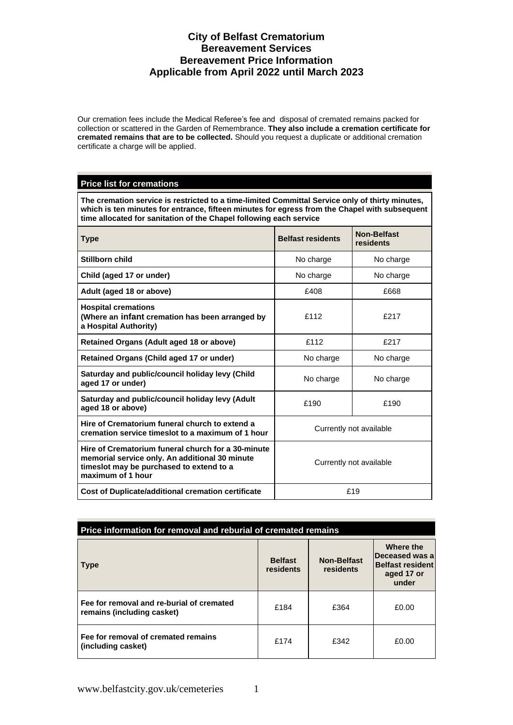Our cremation fees include the Medical Referee's fee and disposal of cremated remains packed for collection or scattered in the Garden of Remembrance. **They also include a cremation certificate for cremated remains that are to be collected.** Should you request a duplicate or additional cremation certificate a charge will be applied.

#### **Price list for cremations**

**The cremation service is restricted to a time-limited Committal Service only of thirty minutes, which is ten minutes for entrance, fifteen minutes for egress from the Chapel with subsequent time allocated for sanitation of the Chapel following each service**

| <b>Type</b>                                                                                                                                                           | <b>Belfast residents</b> | <b>Non-Belfast</b><br>residents |
|-----------------------------------------------------------------------------------------------------------------------------------------------------------------------|--------------------------|---------------------------------|
| Stillborn child                                                                                                                                                       | No charge                | No charge                       |
| Child (aged 17 or under)                                                                                                                                              | No charge                | No charge                       |
| Adult (aged 18 or above)                                                                                                                                              | £408                     | £668                            |
| <b>Hospital cremations</b><br>(Where an infant cremation has been arranged by<br>a Hospital Authority)                                                                | £112                     | £217                            |
| Retained Organs (Adult aged 18 or above)                                                                                                                              | £112                     | £217                            |
| Retained Organs (Child aged 17 or under)                                                                                                                              | No charge                | No charge                       |
| Saturday and public/council holiday levy (Child<br>aged 17 or under)                                                                                                  | No charge                | No charge                       |
| Saturday and public/council holiday levy (Adult<br>aged 18 or above)                                                                                                  | £190                     | £190                            |
| Hire of Crematorium funeral church to extend a<br>cremation service timeslot to a maximum of 1 hour                                                                   | Currently not available  |                                 |
| Hire of Crematorium funeral church for a 30-minute<br>memorial service only. An additional 30 minute<br>timeslot may be purchased to extend to a<br>maximum of 1 hour | Currently not available  |                                 |
| Cost of Duplicate/additional cremation certificate                                                                                                                    | £19                      |                                 |

| Price information for removal and reburial of cremated remains          |                             |                                 |                                                                               |
|-------------------------------------------------------------------------|-----------------------------|---------------------------------|-------------------------------------------------------------------------------|
| Type                                                                    | <b>Belfast</b><br>residents | <b>Non-Belfast</b><br>residents | Where the<br>Deceased was a<br><b>Belfast resident</b><br>aged 17 or<br>under |
| Fee for removal and re-burial of cremated<br>remains (including casket) | £184                        | £364                            | £0.00                                                                         |
| Fee for removal of cremated remains<br>(including casket)               | £174                        | £342                            | £0.00                                                                         |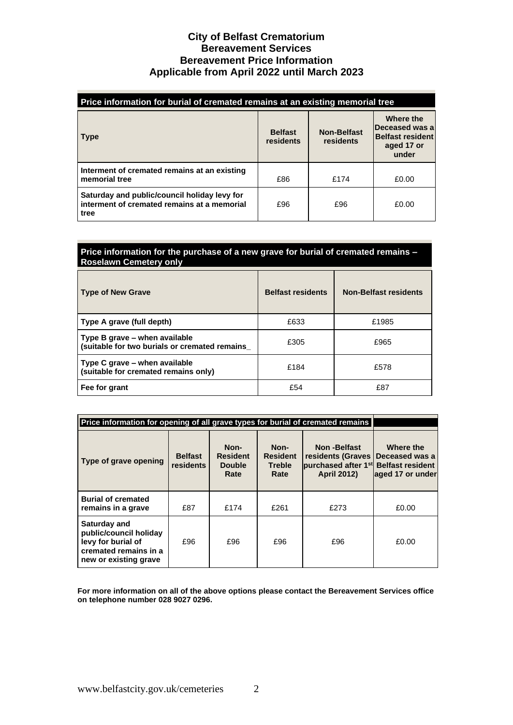| Price information for burial of cremated remains at an existing memorial tree                       |                             |                                 |                                                                               |
|-----------------------------------------------------------------------------------------------------|-----------------------------|---------------------------------|-------------------------------------------------------------------------------|
| <b>Type</b>                                                                                         | <b>Belfast</b><br>residents | <b>Non-Belfast</b><br>residents | Where the<br>Deceased was a<br><b>Belfast resident</b><br>aged 17 or<br>under |
| Interment of cremated remains at an existing<br>memorial tree                                       | £86                         | £174                            | £0.00                                                                         |
| Saturday and public/council holiday levy for<br>interment of cremated remains at a memorial<br>tree | £96                         | £96                             | £0.00                                                                         |

#### **Price information for the purchase of a new grave for burial of cremated remains – Roselawn Cemetery only**

| Type of New Grave                                                              | <b>Belfast residents</b> | <b>Non-Belfast residents</b> |
|--------------------------------------------------------------------------------|--------------------------|------------------------------|
| Type A grave (full depth)                                                      | £633                     | £1985                        |
| Type B grave – when available<br>(suitable for two burials or cremated remains | £305                     | £965                         |
| Type C grave – when available<br>(suitable for cremated remains only)          | £184                     | £578                         |
| Fee for grant                                                                  | £54                      | £87                          |

| Price information for opening of all grave types for burial of cremated remains                                |                             |                                                  |                                                  |                                                                                            |                                                                            |
|----------------------------------------------------------------------------------------------------------------|-----------------------------|--------------------------------------------------|--------------------------------------------------|--------------------------------------------------------------------------------------------|----------------------------------------------------------------------------|
| Type of grave opening                                                                                          | <b>Belfast</b><br>residents | Non-<br><b>Resident</b><br><b>Double</b><br>Rate | Non-<br><b>Resident</b><br><b>Treble</b><br>Rate | Non-Belfast<br>residents (Graves)<br>purchased after 1 <sup>st</sup><br><b>April 2012)</b> | Where the<br>Deceased was a<br><b>Belfast resident</b><br>aged 17 or under |
| <b>Burial of cremated</b><br>remains in a grave                                                                | £87                         | £174                                             | £261                                             | £273                                                                                       | £0.00                                                                      |
| Saturday and<br>public/council holiday<br>levy for burial of<br>cremated remains in a<br>new or existing grave | £96                         | £96                                              | £96                                              | £96                                                                                        | £0.00                                                                      |

**For more information on all of the above options please contact the Bereavement Services office on telephone number 028 9027 0296.**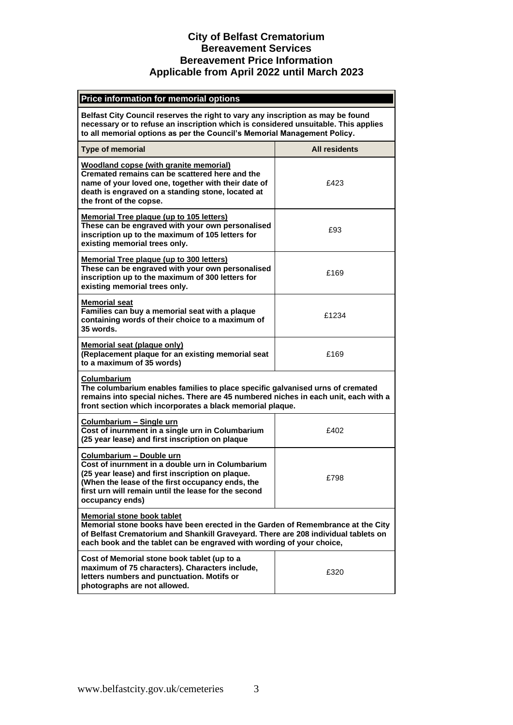#### **Price information for memorial options**

**Belfast City Council reserves the right to vary any inscription as may be found necessary or to refuse an inscription which is considered unsuitable. This applies to all memorial options as per the Council's Memorial Management Policy.**

| <b>Type of memorial</b>                                                                                                                                                                                                                                                             | <b>All residents</b> |  |  |
|-------------------------------------------------------------------------------------------------------------------------------------------------------------------------------------------------------------------------------------------------------------------------------------|----------------------|--|--|
| Woodland copse (with granite memorial)<br>Cremated remains can be scattered here and the<br>name of your loved one, together with their date of<br>death is engraved on a standing stone, located at<br>the front of the copse.                                                     | £423                 |  |  |
| <b>Memorial Tree plaque (up to 105 letters)</b><br>These can be engraved with your own personalised<br>inscription up to the maximum of 105 letters for<br>existing memorial trees only.                                                                                            | £93                  |  |  |
| Memorial Tree plaque (up to 300 letters)<br>These can be engraved with your own personalised<br>inscription up to the maximum of 300 letters for<br>existing memorial trees only.                                                                                                   | £169                 |  |  |
| <b>Memorial seat</b><br>Families can buy a memorial seat with a plaque<br>containing words of their choice to a maximum of<br>35 words.                                                                                                                                             | £1234                |  |  |
| <b>Memorial seat (plaque only)</b><br>(Replacement plaque for an existing memorial seat<br>to a maximum of 35 words)                                                                                                                                                                | £169                 |  |  |
| Columbarium<br>The columbarium enables families to place specific galvanised urns of cremated<br>remains into special niches. There are 45 numbered niches in each unit, each with a<br>front section which incorporates a black memorial plaque.                                   |                      |  |  |
| Columbarium - Single urn<br>Cost of inurnment in a single urn in Columbarium<br>(25 year lease) and first inscription on plaque                                                                                                                                                     | £402                 |  |  |
| Columbarium - Double urn<br>Cost of inurnment in a double urn in Columbarium<br>(25 year lease) and first inscription on plaque.<br>(When the lease of the first occupancy ends, the<br>first urn will remain until the lease for the second<br>occupancy ends)                     | £798                 |  |  |
| <b>Memorial stone book tablet</b><br>Memorial stone books have been erected in the Garden of Remembrance at the City<br>of Belfast Crematorium and Shankill Graveyard. There are 208 individual tablets on<br>each book and the tablet can be engraved with wording of your choice, |                      |  |  |
| Cost of Memorial stone book tablet (up to a<br>maximum of 75 characters). Characters include,<br>letters numbers and punctuation. Motifs or<br>photographs are not allowed.                                                                                                         | £320                 |  |  |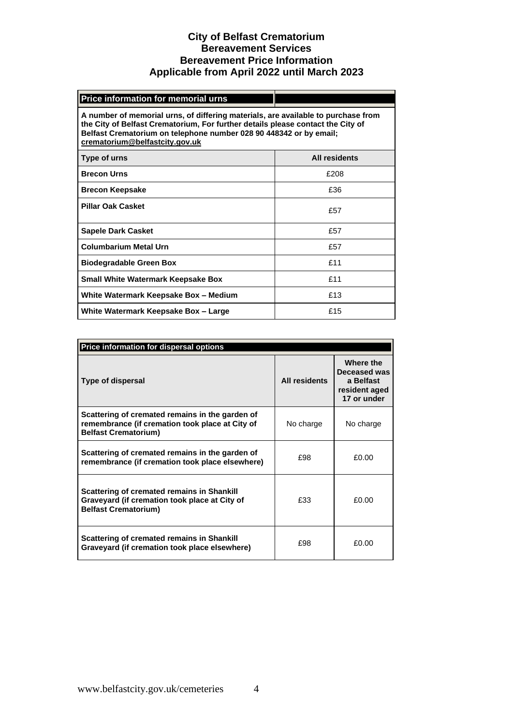# **Price information for memorial urns A number of memorial urns, of differing materials, are available to purchase from the City of Belfast Crematorium, For further details please contact the City of Belfast Crematorium on telephone number 028 90 448342 or by email; [crematorium@belfastcity.gov.uk](about:blank) Type of urns All residents Brecon Urns**  $f(208)$ **Brecon Keepsake E36 Pillar Oak Casket E57 Sapele Dark Casket E57 Columbarium Metal Urn E57 Biodegradable Green Box E11 Small White Watermark Keepsake Box Filter Leapers E11 White Watermark Keepsake Box – Medium** £13 **White Watermark Keepsake Box – Large**  $\vert$  **E**15

| Price information for dispersal options                                                                                           |               |                                                                        |  |
|-----------------------------------------------------------------------------------------------------------------------------------|---------------|------------------------------------------------------------------------|--|
| Type of dispersal                                                                                                                 | All residents | Where the<br>Deceased was<br>a Belfast<br>resident aged<br>17 or under |  |
| Scattering of cremated remains in the garden of<br>remembrance (if cremation took place at City of<br><b>Belfast Crematorium)</b> | No charge     | No charge                                                              |  |
| Scattering of cremated remains in the garden of<br>remembrance (if cremation took place elsewhere)                                | £98           | £0.00                                                                  |  |
| Scattering of cremated remains in Shankill<br>Graveyard (if cremation took place at City of<br><b>Belfast Crematorium)</b>        | £33           | £0.00                                                                  |  |
| Scattering of cremated remains in Shankill<br>Graveyard (if cremation took place elsewhere)                                       | £98           | £0.00                                                                  |  |